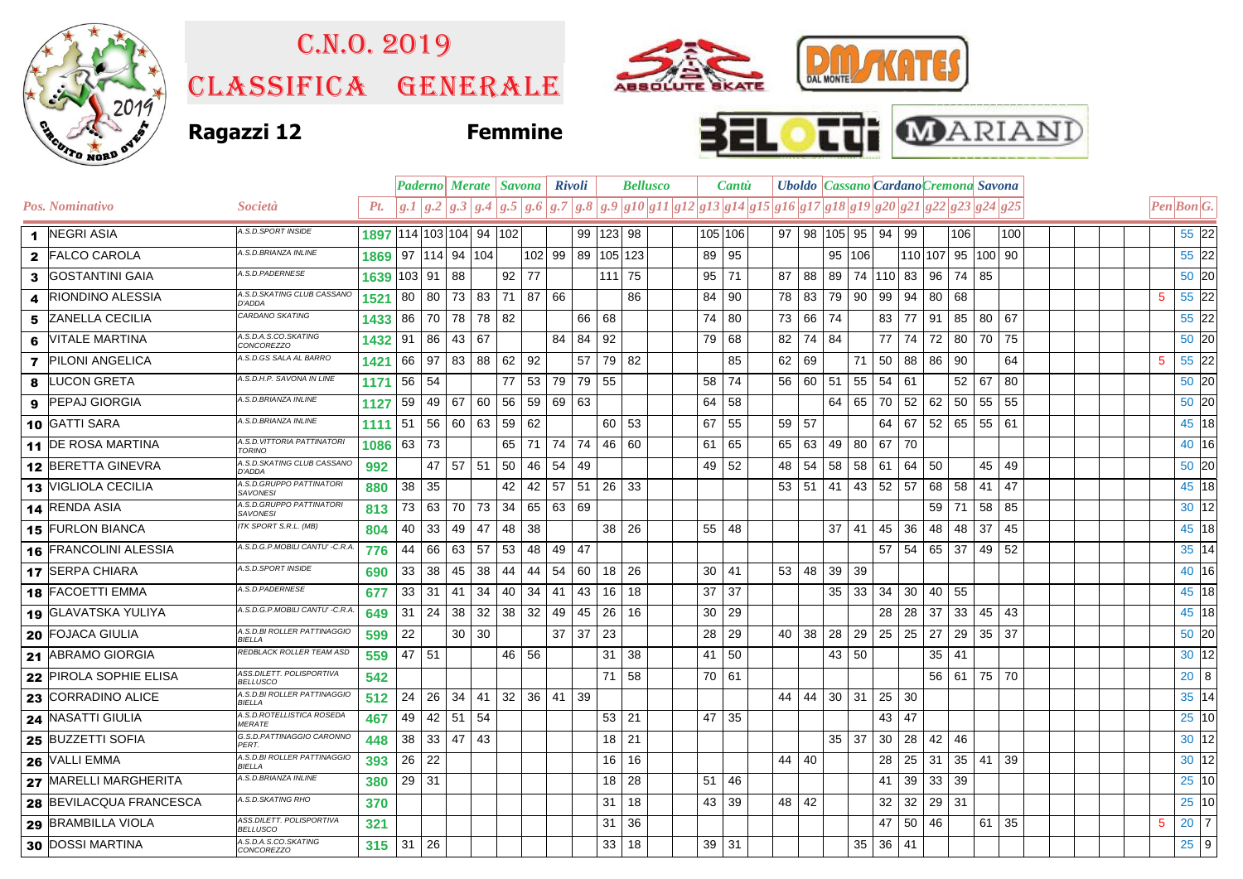

## C.n.o. 2019

Classifica generale







|    |                          |                                                    |                                   |         |                     | <b>Paderno Merate   Savona   Rivoli</b> |       |       |          |       |                   |                 | <b>Bellusco</b>                                                                                       | Cantu |         |      | <b>Uboldo   Cassano   Cardano Cremona Savona</b> |              |        |              |                 |              |                              |                 |     |   |                                  |  |
|----|--------------------------|----------------------------------------------------|-----------------------------------|---------|---------------------|-----------------------------------------|-------|-------|----------|-------|-------------------|-----------------|-------------------------------------------------------------------------------------------------------|-------|---------|------|--------------------------------------------------|--------------|--------|--------------|-----------------|--------------|------------------------------|-----------------|-----|---|----------------------------------|--|
|    | Pos. Nominativo          | Società                                            | Pt.                               |         |                     |                                         |       |       |          |       |                   |                 | $g.1 g.2 g.3 g.4 g.5 g.6 g.7 g.8 g.9 g10 g11 g12 g13 g14 g15 g16 g17 g18 g19 g20 g21 g22 g23 g24 g25$ |       |         |      |                                                  |              |        |              |                 |              |                              |                 |     |   | Pen Bon G.                       |  |
|    | 1 NEGRI ASIA             | A.S.D.SPORT INSIDE                                 | 1897   114   103   104   94   102 |         |                     |                                         |       |       |          |       | 99   123   98     |                 |                                                                                                       |       | 105 106 | 97   | 98   105   95                                    |              |        | 94 99        |                 |              | 106                          |                 | 100 |   | 55 22                            |  |
|    | 2 FALCO CAROLA           | A.S.D.BRIANZA INLINE                               | 1869                              |         | 97   114   94   104 |                                         |       |       |          |       | 102 99 89 105 123 |                 |                                                                                                       | 89    | 95      |      |                                                  |              | 95 106 |              |                 |              | 110 107 95 100 90            |                 |     |   | 55 22                            |  |
|    | 3 GOSTANTINI GAIA        | A.S.D.PADERNESE                                    | 1639                              | 103 91  |                     | 88                                      |       | 92 77 |          |       |                   | $111$ 75        |                                                                                                       | 95    | 71      | 87   | 88                                               | 89           |        |              |                 |              | 74   110   83   96   74   85 |                 |     |   | 50 20                            |  |
|    | <b>RIONDINO ALESSIA</b>  | A.S.D.SKATING CLUB CASSANO<br>D'ADDA               | 1521                              | 80      | 80                  | 73                                      | 83 71 |       | 87       | 66    |                   |                 | 86                                                                                                    | 84    | 90      | 78   | 83                                               | 79           | 90     | 99           | 94              | 80           | 68                           |                 |     | 5 | 55 22                            |  |
| 5. | <b>ZANELLA CECILIA</b>   | CARDANO SKATING                                    | 1433                              | 86      | 70                  | 78                                      | 78 82 |       |          |       | 66 68             |                 |                                                                                                       | 74    | 80      | 73   | 66 74                                            |              |        |              | 83 77           |              | 91 85                        | 80 67           |     |   | 55 22                            |  |
| 6  | <b>VITALE MARTINA</b>    | A.S.D.A.S.CO.SKATING<br><b>CONCOREZZO</b>          | 1432                              | 91      | 86                  | 43                                      | 67    |       |          | 84    | 84 92             |                 |                                                                                                       | 79    | 68      | 82   | 74                                               | 84           |        |              | 77   74         |              | 72 80                        | 70 75           |     |   | 50 20                            |  |
|    | <b>7</b> PILONI ANGELICA | A.S.D.GS SALA AL BARRO                             | 1421                              | 66      | 97                  | 83                                      | 88    | 62    | 92       |       | 57                | 79              | 82                                                                                                    |       | 85      | 62   | 69                                               |              | 71     | 50           | 88              | 86 90        |                              |                 | 64  | 5 | 55 22                            |  |
| 8  | <b>LUCON GRETA</b>       | A.S.D.H.P. SAVONA IN LINE                          | 1171                              | 56      | 54                  |                                         |       | 77    | 53       | 79    | 79 55             |                 |                                                                                                       | 58    | 74      | 56   | 60 51                                            |              | 55     | $54$ 61      |                 |              | 52                           | 67              | 80  |   | 50 20                            |  |
|    | 9 PEPAJ GIORGIA          | A.S.D.BRIANZA INLINE                               | 1127                              | 59      | 49                  | 67                                      | 60    | 56    | 59       | 69 63 |                   |                 |                                                                                                       | 64    | 58      |      |                                                  | 64           | 65     | 70           | 52              |              | 62 50                        | 55              | 55  |   | 50 20                            |  |
|    | 10 GATTI SARA            | A.S.D.BRIANZA INLINE                               | 1111                              | 51      | 56                  | 60                                      | 63    | 59    | 62       |       |                   | 60 53           |                                                                                                       | 67    | 55      | 59   | 57                                               |              |        |              | 64   67         |              | $52 \mid 65$                 | $55 \;   \; 61$ |     |   | 45 18                            |  |
|    | 11 DE ROSA MARTINA       | A.S.D. VITTORIA PATTINATORI<br>TORINO              | 1086                              | 63      | 73                  |                                         |       | 65    | 71       |       | 74 74 46 60       |                 |                                                                                                       | 61    | 65      | 65   | 63                                               | 49           | 80     | 67 70        |                 |              |                              |                 |     |   | 40 16                            |  |
|    | 12 BERETTA GINEVRA       | A.S.D.SKATING CLUB CASSANO<br><b>D'ADDA</b>        | 992                               |         | 47                  | 57                                      | 51    | -50   | 46       | 54    | -49               |                 |                                                                                                       | 49    | 52      | 48   | 54                                               | 58           | 58     | 61           | 64 l            | 50           |                              | 45              | 49  |   | 50 20                            |  |
|    | 13 VIGLIOLA CECILIA      | A.S.D.GRUPPO PATTINATORI<br><b>SAVONESI</b>        | 880                               | 38      | 35                  |                                         |       | 42    | 42       | 57    | 51                | -26             | 33                                                                                                    |       |         | 53   | $51 \mid$                                        | 41           | 43     | 52 57        |                 | 68           | - 58                         | 41              | 47  |   | 45 18                            |  |
|    | 14 RENDA ASIA            | A.S.D.GRUPPO PATTINATORI<br><b>SAVONESI</b>        | 813                               | 73      | 63                  | 70                                      | 73    | 34    | 65       | 63 69 |                   |                 |                                                                                                       |       |         |      |                                                  |              |        |              |                 | 59 71        |                              | 58              | 85  |   | 30 12                            |  |
|    | 15 FURLON BIANCA         | ITK SPORT S.R.L. (MB)                              | 804                               | 40      | 33                  | 49                                      | 47    | 48    | 38       |       |                   | 38 <sup>1</sup> | 26                                                                                                    | 55    | 48      |      |                                                  | 37           | 41     | 45           | 36              |              | 48 48                        | 37              | 45  |   | 45 18                            |  |
|    | 16 FRANCOLINI ALESSIA    | A.S.D.G.P.MOBILI CANTU' -C.R.A.                    | 776                               | 44      | 66                  | 63                                      | 57    | 53    | 48       | 49 47 |                   |                 |                                                                                                       |       |         |      |                                                  |              |        |              | $57$ 54         | 65 37        |                              | 49              | 52  |   | $35 \overline{\smash{\big)} 14}$ |  |
|    | 17 SERPA CHIARA          | A.S.D.SPORT INSIDE                                 | 690                               | 33      | 38                  | 45                                      | 38    | 44    | 44       | 54    | 60                | 18              | 26                                                                                                    | 30    | 41      | 53 I | 48                                               | 39           | -39    |              |                 |              |                              |                 |     |   | 40 16                            |  |
|    | 18 FACOETTI EMMA         | A.S.D.PADERNESE                                    | 677                               | 33      | 31                  | 41                                      | 34    | 40    | 34       | 41    | 43                | 16              | 18                                                                                                    | 37    | 37      |      |                                                  | 35           | 33     |              | 34 30           | 40 55        |                              |                 |     |   | 45 18                            |  |
|    | 19 GLAVATSKA YULIYA      | A.S.D.G.P.MOBILI CANTU' -C.R.A.                    | 649                               | 31      | 24                  | 38                                      | 32    | 38    | 32       | 49    | 45                | -26             | 16                                                                                                    | 30    | 29      |      |                                                  |              |        |              | 28 28           | 37           | 33                           | 45              | 43  |   | 45 18                            |  |
|    | 20 FOJACA GIULIA         | A.S.D.BI ROLLER PATTINAGGIO<br>BIELLA              | 599                               | 22      |                     | 30                                      | 30    |       |          |       | $37 \mid 37$      | 23              |                                                                                                       | 28    | 29      | 40   | 38                                               | 28           | 29     |              | $25 \,   \, 25$ | 27           | 29                           | 35 37           |     |   | 50 20                            |  |
|    | 21 ABRAMO GIORGIA        | REDBLACK ROLLER TEAM ASD                           | 559                               | 47 51   |                     |                                         |       | 46 56 |          |       |                   | 31              | 38                                                                                                    | 41    | 50      |      |                                                  | 43 50        |        |              |                 | $35 \mid 41$ |                              |                 |     |   | 30 12                            |  |
|    | 22 PIROLA SOPHIE ELISA   | ASS.DILETT, POLISPORTIVA<br><b>BELLUSCO</b>        | 542                               |         |                     |                                         |       |       |          |       |                   | 71              | 58                                                                                                    | 70 61 |         |      |                                                  |              |        |              |                 |              | $56$ 61                      | 75 70           |     |   | $20 \quad 8$                     |  |
|    | 23 CORRADINO ALICE       | A.S.D.BI ROLLER PATTINAGGIO<br><b>BIELLA</b>       | 512                               | 24      | 26                  | 34                                      | 41    | 32    | 36 41 39 |       |                   |                 |                                                                                                       |       |         | 44 I | 44                                               | 30           | 31     | 25           | 30              |              |                              |                 |     |   | $35$ 14                          |  |
|    | 24 NASATTI GIULIA        | A.S.D.ROTELLISTICA ROSEDA<br><b>MERATE</b>         | 467                               | 49      | 42                  | 51                                      | 54    |       |          |       |                   | $53$ 21         |                                                                                                       | 47    | 35      |      |                                                  |              |        |              | 43 47           |              |                              |                 |     |   | 25 10                            |  |
|    | 25 BUZZETTI SOFIA        | G.S.D.PATTINAGGIO CARONNO<br>PFRT                  | 448                               | 38      | 33                  | 47                                      | 43    |       |          |       |                   | 18              | 21                                                                                                    |       |         |      |                                                  | $35 \mid 37$ |        |              | 30 28           | 42           | 46                           |                 |     |   | 30 12                            |  |
|    | 26 VALLI EMMA            | A.S.D.BI ROLLER PATTINAGGIO<br>BIFI I A            | 393                               | 26      | 22                  |                                         |       |       |          |       |                   | 16              | 16                                                                                                    |       |         | 44   | 40                                               |              |        | 28           |                 | $25 \mid 31$ | 35                           | 41              | 39  |   | 30 12                            |  |
|    | 27 MARELLI MARGHERITA    | A.S.D.BRIANZA INLINE                               | 380                               | $29$ 31 |                     |                                         |       |       |          |       |                   | 18              | 28                                                                                                    | 51    | 46      |      |                                                  |              |        | 41           | 39              | 33 39        |                              |                 |     |   | 25 10                            |  |
|    | 28 BEVILACQUA FRANCESCA  | A.S.D.SKATING RHO                                  | 370                               |         |                     |                                         |       |       |          |       |                   | 31              | 18                                                                                                    | 43    | 39      | 48   | 42                                               |              |        | 32           | 32              | 29 31        |                              |                 |     |   | 25 10                            |  |
|    | 29 BRAMBILLA VIOLA       | <b>ASS.DILETT, POLISPORTIVA</b><br><b>BELLUSCO</b> | 321                               |         |                     |                                         |       |       |          |       |                   | 31              | 36                                                                                                    |       |         |      |                                                  |              |        | 47           | 50              | 46           |                              | $61$ 35         |     | 5 | $20 \overline{7}$                |  |
|    | 30 DOSSI MARTINA         | A.S.D.A.S.CO.SKATING<br>CONCOREZZO                 | 315                               | 31      | 26                  |                                         |       |       |          |       |                   | 33              | 18                                                                                                    |       | 39   31 |      |                                                  |              | 35     | $36 \mid 41$ |                 |              |                              |                 |     |   | 25 <sup>9</sup>                  |  |